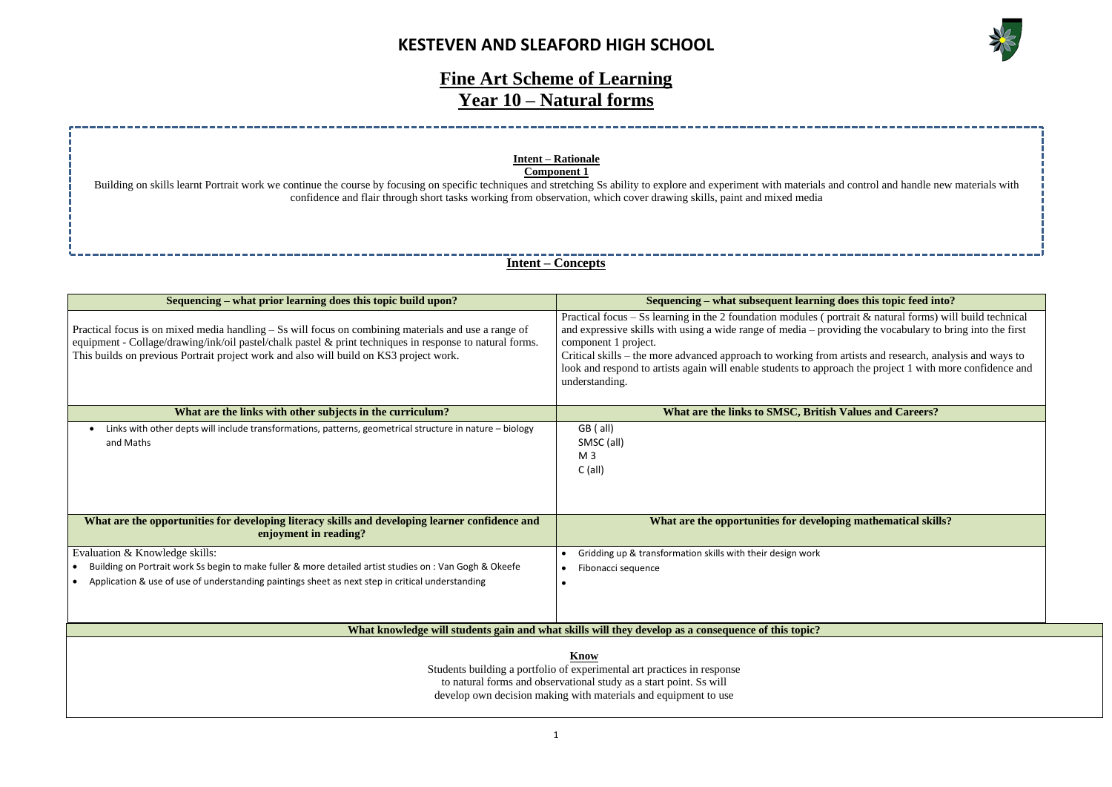### **KESTEVEN AND SLEAFORD HIGH SCHOOL**



#### **does this topic feed into?**

 $\varphi$  atural forms) will build technical viding the vocabulary to bring into the first

artists and research, analysis and ways to bach the project 1 with more confidence and

**Walues and Careers?** 

#### **What are in arms** ing mathematical skills?

# **Fine Art Scheme of Learning Year 10 – Natural forms**

### **Intent – Concepts**

**Know**

Students building a portfolio of experimental art practices in response to natural forms and observational study as a start point. Ss will develop own decision making with materials and equipment to use

| Sequencing – what prior learning does this topic build upon?                                                                                                                                                                                                                                               | Sequencing – what subsequent learning                                                                                                                                                                                                                                                                                   |  |  |
|------------------------------------------------------------------------------------------------------------------------------------------------------------------------------------------------------------------------------------------------------------------------------------------------------------|-------------------------------------------------------------------------------------------------------------------------------------------------------------------------------------------------------------------------------------------------------------------------------------------------------------------------|--|--|
| Practical focus is on mixed media handling – Ss will focus on combining materials and use a range of<br>equipment - Collage/drawing/ink/oil pastel/chalk pastel & print techniques in response to natural forms.<br>This builds on previous Portrait project work and also will build on KS3 project work. | Practical focus $-$ Ss learning in the 2 foundation modules (possible)<br>and expressive skills with using a wide range of media – provide<br>component 1 project.<br>Critical skills – the more advanced approach to working from<br>look and respond to artists again will enable students to appro<br>understanding. |  |  |
| What are the links with other subjects in the curriculum?                                                                                                                                                                                                                                                  | What are the links to SMSC, British                                                                                                                                                                                                                                                                                     |  |  |
| Links with other depts will include transformations, patterns, geometrical structure in nature - biology<br>٠<br>and Maths                                                                                                                                                                                 | GB (all)<br>SMSC (all)<br>M <sub>3</sub><br>$C$ (all)                                                                                                                                                                                                                                                                   |  |  |
| What are the opportunities for developing literacy skills and developing learner confidence and<br>enjoyment in reading?                                                                                                                                                                                   | What are the opportunities for developi                                                                                                                                                                                                                                                                                 |  |  |
| Evaluation & Knowledge skills:<br>Building on Portrait work Ss begin to make fuller & more detailed artist studies on : Van Gogh & Okeefe<br>Application & use of use of understanding paintings sheet as next step in critical understanding                                                              | Gridding up & transformation skills with their design work<br>Fibonacci sequence                                                                                                                                                                                                                                        |  |  |
| What knowledge will students gain and what skills will they develop as a consequence of this topic?                                                                                                                                                                                                        |                                                                                                                                                                                                                                                                                                                         |  |  |

Building on skills learnt Portrait work we continue the course by focusing on specific techniques and stretching Ss ability to explore and experiment with materials and control and handle new materials with confidence and flair through short tasks working from observation, which cover drawing skills, paint and mixed media

### **Intent – Rationale Component 1**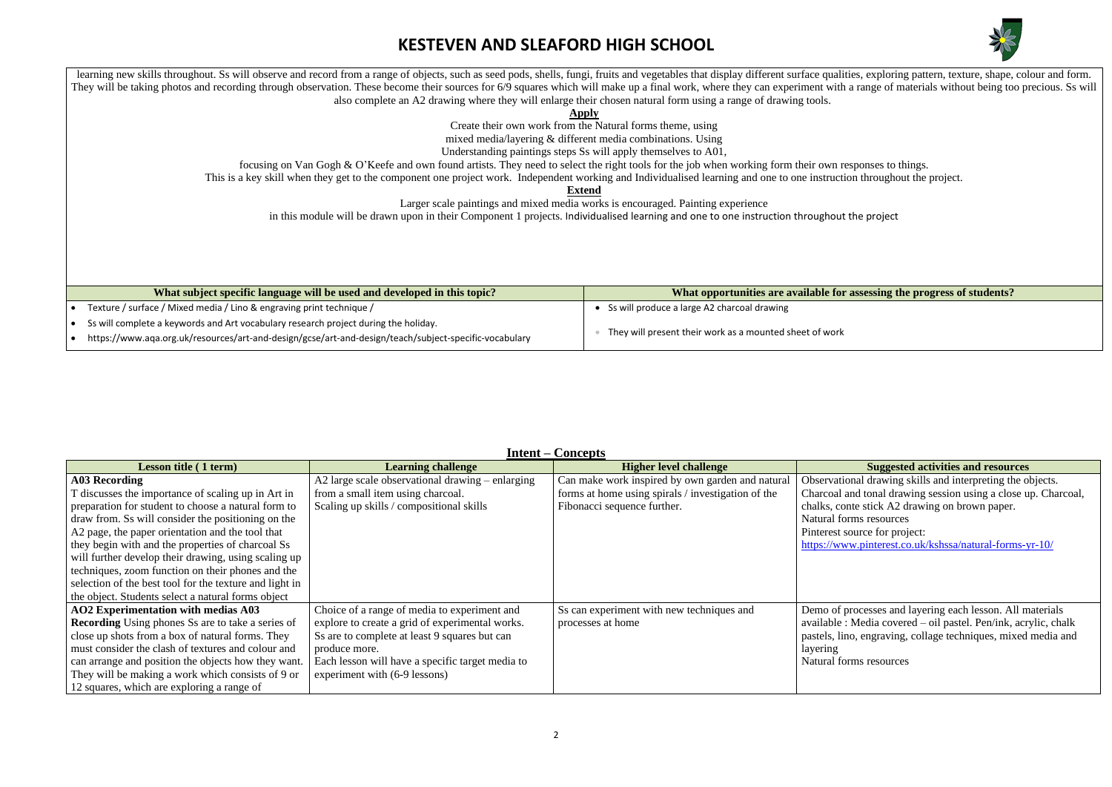# **KESTEVEN AND SLEAFORD HIGH SCHOOL**



#### **Figure is also induced in this increase in this in this in this integral in this incredition in the progression in the progression in the assessing the progress of students?**

**Lesson Suggested activities and resources** ional drawing skills and interpreting the objects.

and tonal drawing session using a close up. Charcoal, onte stick A2 drawing on brown paper. orms resources source for project: ww.pinterest.co.uk/kshssa/natural-forms-yr-10/

moresses and layering each lesson. All materials  $\alpha$ : Media covered – oil pastel. Pen/ink, acrylic, chalk ino, engraving, collage techniques, mixed media and

.<br> **Sorms resources** 

learning new skills throughout. Ss will observe and record from a range of objects, such as seed pods, shells, fungi, fruits and vegetables that display different surface qualities, exploring pattern, texture, shape, colou They will be taking photos and recording through observation. These become their sources for 6/9 squares which will make up a final work, where they can experiment with a range of materials without being too precious. Ss w also complete an A2 drawing where they will enlarge their chosen natural form using a range of drawing tools.

**Apply**

Create their own work from the Natural forms theme, using

mixed media/layering & different media combinations. Using

Understanding paintings steps Ss will apply themselves to A01,

focusing on Van Gogh & O'Keefe and own found artists. They need to select the right tools for the job when working form their own responses to things.

This is a key skill when they get to the component one project work. Independent working and Individualised learning and one to one instruction throughout the project.

**Extend**

Larger scale paintings and mixed media works is encouraged. Painting experience

in this module will be drawn upon in their Component 1 projects. Individualised learning and one to one instruction throughout the project

| What subject specific language will be used and developed in this topic?                              | What opportunities are available for                    |
|-------------------------------------------------------------------------------------------------------|---------------------------------------------------------|
| Texture / surface / Mixed media / Lino & engraving print technique /                                  | Ss will produce a large A2 charcoal drawing             |
| Ss will complete a keywords and Art vocabulary research project during the holiday.                   | They will present their work as a mounted sheet of work |
| https://www.aqa.org.uk/resources/art-and-design/gcse/art-and-design/teach/subject-specific-vocabulary |                                                         |

#### **Intent – Concepts**

|                                                          |                                                  | $\sim$ $\sim$ $\sim$ $\sim$ $\sim$ $\sim$          |             |
|----------------------------------------------------------|--------------------------------------------------|----------------------------------------------------|-------------|
| <b>Lesson title (1 term)</b>                             | <b>Learning challenge</b>                        | <b>Higher level challenge</b>                      |             |
| <b>A03 Recording</b>                                     | A2 large scale observational drawing – enlarging | Can make work inspired by own garden and natural   | Observati   |
| T discusses the importance of scaling up in Art in       | from a small item using charcoal.                | forms at home using spirals / investigation of the | Charcoal    |
| preparation for student to choose a natural form to      | Scaling up skills / compositional skills         | Fibonacci sequence further.                        | chalks, co  |
| draw from. Ss will consider the positioning on the       |                                                  |                                                    | Natural fo  |
| A2 page, the paper orientation and the tool that         |                                                  |                                                    | Pinterest   |
| they begin with and the properties of charcoal Ss        |                                                  |                                                    | https://wy  |
| will further develop their drawing, using scaling up     |                                                  |                                                    |             |
| techniques, zoom function on their phones and the        |                                                  |                                                    |             |
| selection of the best tool for the texture and light in  |                                                  |                                                    |             |
| the object. Students select a natural forms object       |                                                  |                                                    |             |
| <b>AO2</b> Experimentation with medias A03               | Choice of a range of media to experiment and     | Ss can experiment with new techniques and          | Demo of     |
| <b>Recording</b> Using phones Ss are to take a series of | explore to create a grid of experimental works.  | processes at home                                  | available   |
| close up shots from a box of natural forms. They         | Ss are to complete at least 9 squares but can    |                                                    | pastels, li |
| must consider the clash of textures and colour and       | produce more.                                    |                                                    | layering    |
| can arrange and position the objects how they want.      | Each lesson will have a specific target media to |                                                    | Natural fo  |
| They will be making a work which consists of 9 or        | experiment with (6-9 lessons)                    |                                                    |             |
| 12 squares, which are exploring a range of               |                                                  |                                                    |             |